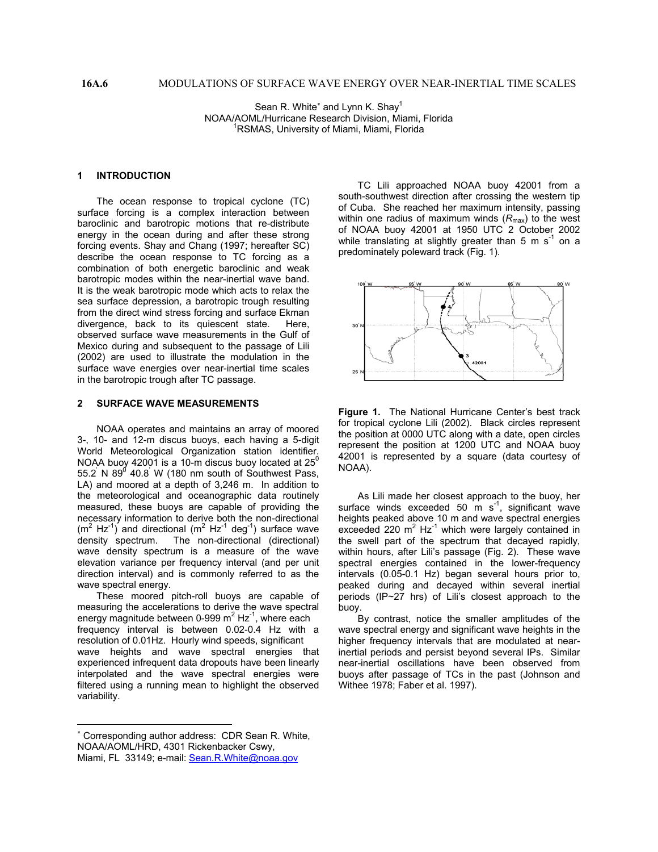Sean R. White<sup>\*</sup> [a](#page-0-0)nd Lynn K. Shay<sup>1</sup> NOAA/AOML/Hurricane Research Division, Miami, Florida 1 <sup>1</sup>RSMAS, University of Miami, Miami, Florida

#### **1 INTRODUCTION**

The ocean response to tropical cyclone (TC) surface forcing is a complex interaction between baroclinic and barotropic motions that re-distribute energy in the ocean during and after these strong forcing events. Shay and Chang (1997; hereafter SC) describe the ocean response to TC forcing as a combination of both energetic baroclinic and weak barotropic modes within the near-inertial wave band. It is the weak barotropic mode which acts to relax the sea surface depression, a barotropic trough resulting from the direct wind stress forcing and surface Ekman divergence, back to its quiescent state. Here, observed surface wave measurements in the Gulf of Mexico during and subsequent to the passage of Lili (2002) are used to illustrate the modulation in the surface wave energies over near-inertial time scales in the barotropic trough after TC passage.

### **2 SURFACE WAVE MEASUREMENTS**

NOAA operates and maintains an array of moored 3-, 10- and 12-m discus buoys, each having a 5-digit World Meteorological Organization station identifier. NOAA buoy 42001 is a 10-m discus buoy located at  $25^\circ$ 55.2 N 89 $^0$  40.8 W (180 nm south of Southwest Pass, LA) and moored at a depth of 3,246 m. In addition to the meteorological and oceanographic data routinely measured, these buoys are capable of providing the necessary information to derive both the non-directional  $(m^2 Hz^{-1})$  and directional  $(m^2 Hz^{-1})$  deg<sup>-1</sup>) surface wave density spectrum. The non-directional (directional) wave density spectrum is a measure of the wave elevation variance per frequency interval (and per unit direction interval) and is commonly referred to as the wave spectral energy.

These moored pitch-roll buoys are capable of measuring the accelerations to derive the wave spectral energy magnitude between 0-999  $m^2$  Hz<sup>-1</sup>, where each frequency interval is between 0.02-0.4 Hz with a resolution of 0.01Hz. Hourly wind speeds, significant wave heights and wave spectral energies that experienced infrequent data dropouts have been linearly interpolated and the wave spectral energies were filtered using a running mean to highlight the observed variability.

 $\overline{a}$ 

TC Lili approached NOAA buoy 42001 from a south-southwest direction after crossing the western tip of Cuba. She reached her maximum intensity, passing within one radius of maximum winds  $(R_{\text{max}})$  to the west of NOAA buoy 42001 at 1950 UTC 2 October 2002 while translating at slightly greater than 5 m  $s^{-1}$  on a predominately poleward track (Fig. 1).



**Figure 1.** The National Hurricane Center's best track for tropical cyclone Lili (2002). Black circles represent the position at 0000 UTC along with a date, open circles represent the position at 1200 UTC and NOAA buoy 42001 is represented by a square (data courtesy of NOAA).

As Lili made her closest approach to the buoy, her surface winds exceeded 50  $\text{m s}^{-1}$ , significant wave heights peaked above 10 m and wave spectral energies exceeded 220  $m^2$  Hz<sup>-1</sup> which were largely contained in the swell part of the spectrum that decayed rapidly, within hours, after Lili's passage (Fig. 2). These wave spectral energies contained in the lower-frequency intervals (0.05-0.1 Hz) began several hours prior to, peaked during and decayed within several inertial periods (IP~27 hrs) of Lili's closest approach to the buoy.

By contrast, notice the smaller amplitudes of the wave spectral energy and significant wave heights in the higher frequency intervals that are modulated at nearinertial periods and persist beyond several IPs. Similar near-inertial oscillations have been observed from buoys after passage of TCs in the past (Johnson and Withee 1978; Faber et al. 1997).

<span id="page-0-0"></span><sup>∗</sup> Corresponding author address: CDR Sean R. White, NOAA/AOML/HRD, 4301 Rickenbacker Cswy, Miami, FL 33149; e-mail: [Sean.R.White@noaa.gov](mailto:Sean.R.White@noaa.gov)